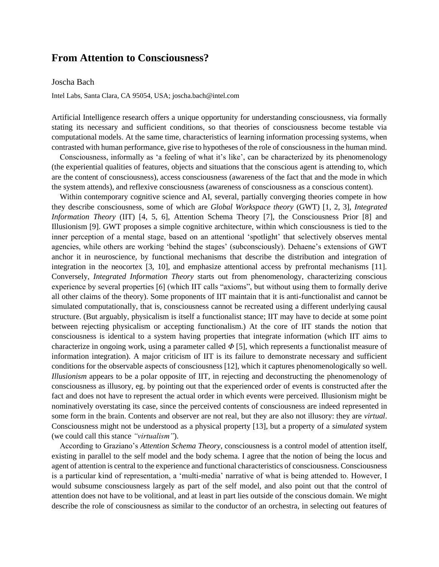## **From Attention to Consciousness?**

## Joscha Bach

Intel Labs, Santa Clara, CA 95054, USA; joscha.bach@intel.com

Artificial Intelligence research offers a unique opportunity for understanding consciousness, via formally stating its necessary and sufficient conditions, so that theories of consciousness become testable via computational models. At the same time, characteristics of learning information processing systems, when contrasted with human performance, give rise to hypotheses of the role of consciousness in the human mind.

Consciousness, informally as 'a feeling of what it's like', can be characterized by its phenomenology (the experiential qualities of features, objects and situations that the conscious agent is attending to, which are the content of consciousness), access consciousness (awareness of the fact that and the mode in which the system attends), and reflexive consciousness (awareness of consciousness as a conscious content).

Within contemporary cognitive science and AI, several, partially converging theories compete in how they describe consciousness, some of which are *Global Workspace theory* (GWT) [1, 2, 3], *Integrated Information Theory* (IIT) [4, 5, 6], Attention Schema Theory [7], the Consciousness Prior [8] and Illusionism [9]. GWT proposes a simple cognitive architecture, within which consciousness is tied to the inner perception of a mental stage, based on an attentional 'spotlight' that selectively observes mental agencies, while others are working 'behind the stages' (subconsciously). Dehaene's extensions of GWT anchor it in neuroscience, by functional mechanisms that describe the distribution and integration of integration in the neocortex [3, 10], and emphasize attentional access by prefrontal mechanisms [11]. Conversely, *Integrated Information Theory* starts out from phenomenology, characterizing conscious experience by several properties [6] (which IIT calls "axioms", but without using them to formally derive all other claims of the theory). Some proponents of IIT maintain that it is anti-functionalist and cannot be simulated computationally, that is, consciousness cannot be recreated using a different underlying causal structure. (But arguably, physicalism is itself a functionalist stance; IIT may have to decide at some point between rejecting physicalism or accepting functionalism.) At the core of IIT stands the notion that consciousness is identical to a system having properties that integrate information (which IIT aims to characterize in ongoing work, using a parameter called *Φ* [5], which represents a functionalist measure of information integration). A major criticism of IIT is its failure to demonstrate necessary and sufficient conditions for the observable aspects of consciousness [12], which it captures phenomenologically so well. *Illusionism* appears to be a polar opposite of IIT, in rejecting and deconstructing the phenomenology of consciousness as illusory, eg. by pointing out that the experienced order of events is constructed after the fact and does not have to represent the actual order in which events were perceived. Illusionism might be nominatively overstating its case, since the perceived contents of consciousness are indeed represented in some form in the brain. Contents and observer are not real, but they are also not illusory: they are *virtual*. Consciousness might not be understood as a physical property [13], but a property of a *simulated* system (we could call this stance *"virtualism"*).

According to Graziano's *Attention Schema Theory*, consciousness is a control model of attention itself, existing in parallel to the self model and the body schema. I agree that the notion of being the locus and agent of attention is central to the experience and functional characteristics of consciousness. Consciousness is a particular kind of representation, a 'multi-media' narrative of what is being attended to. However, I would subsume consciousness largely as part of the self model, and also point out that the control of attention does not have to be volitional, and at least in part lies outside of the conscious domain. We might describe the role of consciousness as similar to the conductor of an orchestra, in selecting out features of